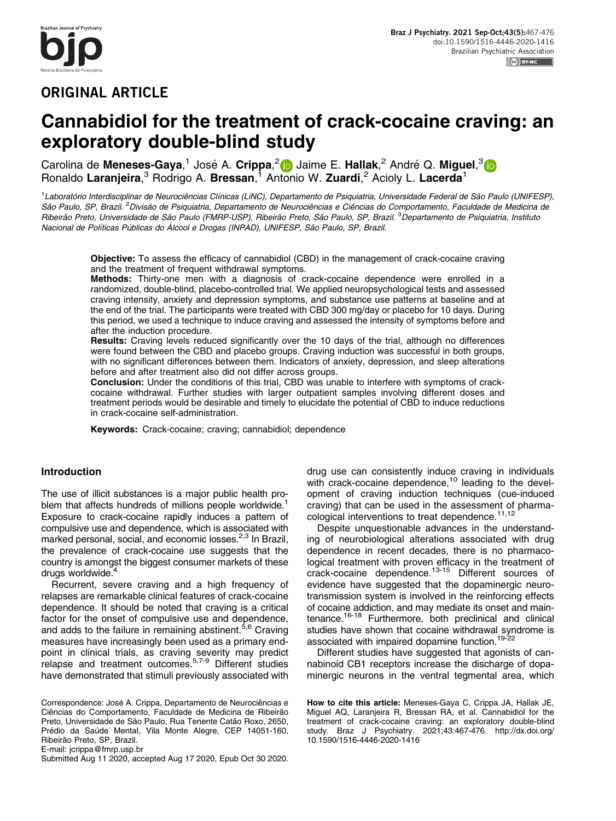# ORIGINAL ARTICLE

# Cannabidiol for the treatment of crack-cocaine craving: an exploratory double-blind study

Carolina de **Meneses-Gaya**,<sup>1</sup> José A. **Crippa,<sup>2</sup> (b</mark> Jaime E. Hallak,<sup>2</sup> André Q. Miguel,<sup>3</sup> (b** Ronaldo Laranjeira,<sup>3</sup> Rodrigo A. Bressan,<sup>1</sup> Antonio W. Zuardi,<sup>2</sup> Acioly L. Lacerda<sup>1</sup>

1Laboratório Interdisciplinar de Neurociências Clínicas (LiNC), Departamento de Psiquiatria, Universidade Federal de São Paulo (UNIFESP), São Paulo, SP, Brazil. <sup>2</sup> Divisão de Psiquiatria, Departamento de Neurociências e Ciências do Comportamento, Faculdade de Medicina de Ribeirão Preto, Universidade de São Paulo (FMRP-USP), Ribeirão Preto, São Paulo, SP, Brazil. <sup>3</sup>Departamento de Psiquiatria, Instituto Nacional de Políticas Públicas do Álcool e Drogas (INPAD), UNIFESP, São Paulo, SP, Brazil.

Objective: To assess the efficacy of cannabidiol (CBD) in the management of crack-cocaine craving and the treatment of frequent withdrawal symptoms.

Methods: Thirty-one men with a diagnosis of crack-cocaine dependence were enrolled in a randomized, double-blind, placebo-controlled trial. We applied neuropsychological tests and assessed craving intensity, anxiety and depression symptoms, and substance use patterns at baseline and at the end of the trial. The participants were treated with CBD 300 mg/day or placebo for 10 days. During this period, we used a technique to induce craving and assessed the intensity of symptoms before and after the induction procedure.

Results: Craving levels reduced significantly over the 10 days of the trial, although no differences were found between the CBD and placebo groups. Craving induction was successful in both groups, with no significant differences between them. Indicators of anxiety, depression, and sleep alterations before and after treatment also did not differ across groups.

Conclusion: Under the conditions of this trial, CBD was unable to interfere with symptoms of crackcocaine withdrawal. Further studies with larger outpatient samples involving different doses and treatment periods would be desirable and timely to elucidate the potential of CBD to induce reductions in crack-cocaine self-administration.

Keywords: Crack-cocaine; craving; cannabidiol; dependence

# Introduction

The use of illicit substances is a major public health problem that affects hundreds of millions people worldwide.<sup>1</sup> Exposure to crack-cocaine rapidly induces a pattern of compulsive use and dependence, which is associated with marked personal, social, and economic losses.<sup>2,3</sup> In Brazil, the prevalence of crack-cocaine use suggests that the country is amongst the biggest consumer markets of these drugs worldwide.<sup>[4](#page-7-0)</sup>

Recurrent, severe craving and a high frequency of relapses are remarkable clinical features of crack-cocaine dependence. It should be noted that craving is a critical factor for the onset of compulsive use and dependence, and adds to the failure in remaining abstinent.<sup>[5,6](#page-7-0)</sup> Craving measures have increasingly been used as a primary endpoint in clinical trials, as craving severity may predict relapse and treatment outcomes[.5,7](#page-7-0)-[9](#page-7-0) Different studies have demonstrated that stimuli previously associated with

Correspondence: José A. Crippa, Departamento de Neurociências e Ciências do Comportamento, Faculdade de Medicina de Ribeirão Preto, Universidade de São Paulo, Rua Tenente Catão Roxo, 2650, Prédio da Saúde Mental, Vila Monte Alegre, CEP 14051-160, Ribeirão Preto, SP, Brazil. E-mail: [jcrippa@fmrp.usp.br](mailto:jcrippa@fmrp.usp.br)

Submitted Aug 11 2020, accepted Aug 17 2020, Epub Oct 30 2020.

drug use can consistently induce craving in individuals with crack-cocaine dependence, $10$  leading to the development of craving induction techniques (cue-induced craving) that can be used in the assessment of pharmacological interventions to treat dependence. $11,12$ 

Despite unquestionable advances in the understanding of neurobiological alterations associated with drug dependence in recent decades, there is no pharmacological treatment with proven efficacy in the treatment of crack-cocaine dependence.[13](#page-7-0)-[15](#page-7-0) Different sources of evidence have suggested that the dopaminergic neurotransmission system is involved in the reinforcing effects of cocaine addiction, and may mediate its onset and maintenance[.16-18](#page-7-0) Furthermore, both preclinical and clinical studies have shown that cocaine withdrawal syndrome is associated with impaired dopamine function.<sup>[19](#page-7-0)-[22](#page-7-0)</sup>

Different studies have suggested that agonists of cannabinoid CB1 receptors increase the discharge of dopaminergic neurons in the ventral tegmental area, which

How to cite this article: Meneses-Gaya C, Crippa JA, Hallak JE, Miguel AQ, Laranjeira R, Bressan RA, et al. Cannabidiol for the treatment of crack-cocaine craving: an exploratory double-blind study. Braz J Psychiatry. 2021;43:467-476. [http://dx.doi.org/](http://dx.doi.org/10.1590/1516-4446-2020-1416) [10.1590/1516-4446-2020-1416](http://dx.doi.org/10.1590/1516-4446-2020-1416)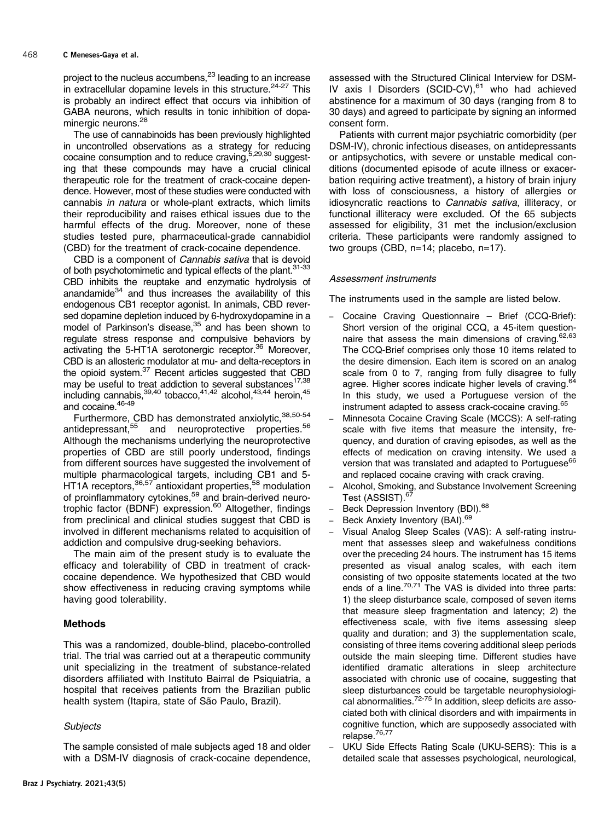project to the nucleus accumbens,<sup>[23](#page-8-0)</sup> leading to an increase in extracellular dopamine levels in this structure.<sup>[24-27](#page-8-0)</sup> This is probably an indirect effect that occurs via inhibition of GABA neurons, which results in tonic inhibition of dopaminergic neurons.<sup>28</sup>

The use of cannabinoids has been previously highlighted in uncontrolled observations as a strategy for reducing cocaine consumption and to reduce craving, 5[,29,30](#page-8-0) suggesting that these compounds may have a crucial clinical therapeutic role for the treatment of crack-cocaine dependence. However, most of these studies were conducted with cannabis in natura or whole-plant extracts, which limits their reproducibility and raises ethical issues due to the harmful effects of the drug. Moreover, none of these studies tested pure, pharmaceutical-grade cannabidiol (CBD) for the treatment of crack-cocaine dependence.

CBD is a component of Cannabis sativa that is devoid of both psychotomimetic and typical effects of the plant.<sup>31-33</sup> CBD inhibits the reuptake and enzymatic hydrolysis of anandamide $34$  and thus increases the availability of this endogenous CB1 receptor agonist. In animals, CBD reversed dopamine depletion induced by 6-hydroxydopamine in a model of Parkinson's disease,<sup>35</sup> and has been shown to regulate stress response and compulsive behaviors by activating the 5-HT1A serotonergic receptor.<sup>36</sup> Moreover, CBD is an allosteric modulator at mu- and delta-receptors in the opioid system.<sup>[37](#page-8-0)</sup> Recent articles suggested that CBD may be useful to treat addiction to several substances<sup>17,[38](#page-8-0)</sup> including cannabis,  $39,40$  tobacco,  $41,42$  alcohol,  $43,44$  heroin,  $45$ and cocaine. 46-49

Furthermore, CBD has demonstrated anxiolytic, [38,50](#page-8-0)-[54](#page-8-0) antidepressant,<sup>[55](#page-8-0)</sup> and neuroprotective properties.<sup>[56](#page-8-0)</sup> Although the mechanisms underlying the neuroprotective properties of CBD are still poorly understood, findings from different sources have suggested the involvement of multiple pharmacological targets, including CB1 and 5- HT1A receptors,<sup>36,57</sup> antioxidant properties,<sup>[58](#page-8-0)</sup> modulation of proinflammatory cytokines,<sup>[59](#page-8-0)</sup> and brain-derived neurotrophic factor (BDNF) expression.<sup>60</sup> Altogether, findings from preclinical and clinical studies suggest that CBD is involved in different mechanisms related to acquisition of addiction and compulsive drug-seeking behaviors.

The main aim of the present study is to evaluate the efficacy and tolerability of CBD in treatment of crackcocaine dependence. We hypothesized that CBD would show effectiveness in reducing craving symptoms while having good tolerability.

# Methods

This was a randomized, double-blind, placebo-controlled trial. The trial was carried out at a therapeutic community unit specializing in the treatment of substance-related disorders affiliated with Instituto Bairral de Psiquiatria, a hospital that receives patients from the Brazilian public health system (Itapira, state of São Paulo, Brazil).

# **Subjects**

The sample consisted of male subjects aged 18 and older with a DSM-IV diagnosis of crack-cocaine dependence, assessed with the Structured Clinical Interview for DSM-IV axis I Disorders (SCID-CV), $61$  who had achieved abstinence for a maximum of 30 days (ranging from 8 to 30 days) and agreed to participate by signing an informed consent form.

Patients with current major psychiatric comorbidity (per DSM-IV), chronic infectious diseases, on antidepressants or antipsychotics, with severe or unstable medical conditions (documented episode of acute illness or exacerbation requiring active treatment), a history of brain injury with loss of consciousness, a history of allergies or idiosyncratic reactions to Cannabis sativa, illiteracy, or functional illiteracy were excluded. Of the 65 subjects assessed for eligibility, 31 met the inclusion/exclusion criteria. These participants were randomly assigned to two groups (CBD, n=14; placebo, n=17).

# Assessment instruments

The instruments used in the sample are listed below.

- Cocaine Craving Questionnaire Brief (CCQ-Brief): Short version of the original CCQ, a 45-item question-naire that assess the main dimensions of craving.<sup>[62](#page-8-0),[63](#page-9-0)</sup> The CCQ-Brief comprises only those 10 items related to the desire dimension. Each item is scored on an analog scale from 0 to 7, ranging from fully disagree to fully agree. Higher scores indicate higher levels of craving.<sup>[64](#page-9-0)</sup> In this study, we used a Portuguese version of the instrument adapted to assess crack-cocaine craving.<sup>[65](#page-9-0)</sup>
- Minnesota Cocaine Craving Scale (MCCS): A self-rating scale with five items that measure the intensity, frequency, and duration of craving episodes, as well as the effects of medication on craving intensity. We used a version that was translated and adapted to Portuguese<sup>[66](#page-9-0)</sup> and replaced cocaine craving with crack craving.
- Alcohol, Smoking, and Substance Involvement Screening Test (ASSIST).<sup>[67](#page-9-0)</sup>
- Beck Depression Inventory (BDI).<sup>[68](#page-9-0)</sup>
- Beck Anxiety Inventory (BAI).<sup>[69](#page-9-0)</sup>
- Visual Analog Sleep Scales (VAS): A self-rating instrument that assesses sleep and wakefulness conditions over the preceding 24 hours. The instrument has 15 items presented as visual analog scales, with each item consisting of two opposite statements located at the two ends of a line.<sup>[70,71](#page-9-0)</sup> The VAS is divided into three parts: 1) the sleep disturbance scale, composed of seven items that measure sleep fragmentation and latency; 2) the effectiveness scale, with five items assessing sleep quality and duration; and 3) the supplementation scale, consisting of three items covering additional sleep periods outside the main sleeping time. Different studies have identified dramatic alterations in sleep architecture associated with chronic use of cocaine, suggesting that sleep disturbances could be targetable neurophysiological abnormalities.[72-75](#page-9-0) In addition, sleep deficits are associated both with clinical disorders and with impairments in cognitive function, which are supposedly associated with relapse.<sup>[76,77](#page-9-0)</sup>
- UKU Side Effects Rating Scale (UKU-SERS): This is a detailed scale that assesses psychological, neurological,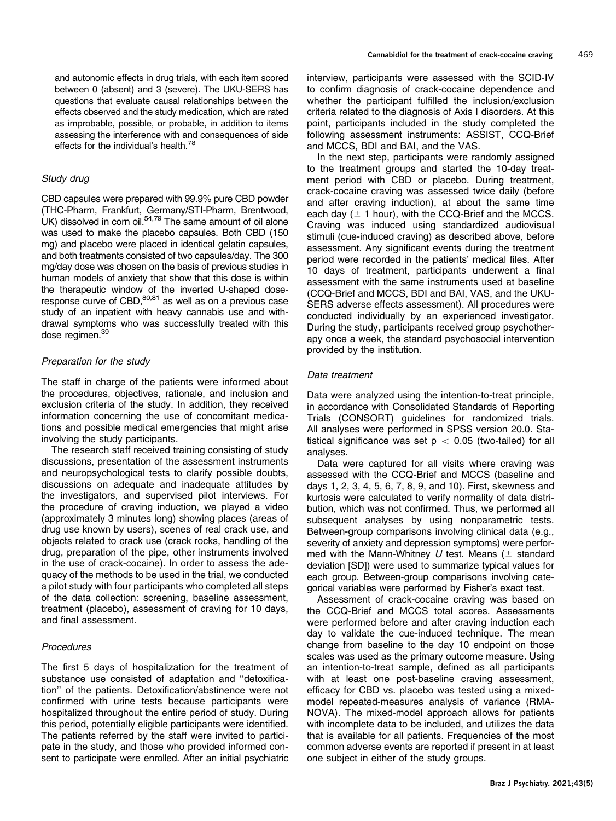and autonomic effects in drug trials, with each item scored between 0 (absent) and 3 (severe). The UKU-SERS has questions that evaluate causal relationships between the effects observed and the study medication, which are rated as improbable, possible, or probable, in addition to items assessing the interference with and consequences of side effects for the individual's health.<sup>[78](#page-9-0)</sup>

# Study drug

CBD capsules were prepared with 99.9% pure CBD powder (THC-Pharm, Frankfurt, Germany/STI-Pharm, Brentwood,  $UK)$  dissolved in corn oil.<sup>54,[79](#page-9-0)</sup> The same amount of oil alone was used to make the placebo capsules. Both CBD (150 mg) and placebo were placed in identical gelatin capsules, and both treatments consisted of two capsules/day. The 300 mg/day dose was chosen on the basis of previous studies in human models of anxiety that show that this dose is within the therapeutic window of the inverted U-shaped dose-response curve of CBD,<sup>[80,81](#page-9-0)</sup> as well as on a previous case study of an inpatient with heavy cannabis use and withdrawal symptoms who was successfully treated with this dose regimen.<sup>[39](#page-8-0)</sup>

# Preparation for the study

The staff in charge of the patients were informed about the procedures, objectives, rationale, and inclusion and exclusion criteria of the study. In addition, they received information concerning the use of concomitant medications and possible medical emergencies that might arise involving the study participants.

The research staff received training consisting of study discussions, presentation of the assessment instruments and neuropsychological tests to clarify possible doubts, discussions on adequate and inadequate attitudes by the investigators, and supervised pilot interviews. For the procedure of craving induction, we played a video (approximately 3 minutes long) showing places (areas of drug use known by users), scenes of real crack use, and objects related to crack use (crack rocks, handling of the drug, preparation of the pipe, other instruments involved in the use of crack-cocaine). In order to assess the adequacy of the methods to be used in the trial, we conducted a pilot study with four participants who completed all steps of the data collection: screening, baseline assessment, treatment (placebo), assessment of craving for 10 days, and final assessment.

## **Procedures**

The first 5 days of hospitalization for the treatment of substance use consisted of adaptation and ''detoxification'' of the patients. Detoxification/abstinence were not confirmed with urine tests because participants were hospitalized throughout the entire period of study. During this period, potentially eligible participants were identified. The patients referred by the staff were invited to participate in the study, and those who provided informed consent to participate were enrolled. After an initial psychiatric

interview, participants were assessed with the SCID-IV to confirm diagnosis of crack-cocaine dependence and whether the participant fulfilled the inclusion/exclusion criteria related to the diagnosis of Axis I disorders. At this point, participants included in the study completed the following assessment instruments: ASSIST, CCQ-Brief and MCCS, BDI and BAI, and the VAS.

In the next step, participants were randomly assigned to the treatment groups and started the 10-day treatment period with CBD or placebo. During treatment, crack-cocaine craving was assessed twice daily (before and after craving induction), at about the same time each day  $(± 1$  hour), with the CCQ-Brief and the MCCS. Craving was induced using standardized audiovisual stimuli (cue-induced craving) as described above, before assessment. Any significant events during the treatment period were recorded in the patients' medical files. After 10 days of treatment, participants underwent a final assessment with the same instruments used at baseline (CCQ-Brief and MCCS, BDI and BAI, VAS, and the UKU-SERS adverse effects assessment). All procedures were conducted individually by an experienced investigator. During the study, participants received group psychotherapy once a week, the standard psychosocial intervention provided by the institution.

#### Data treatment

Data were analyzed using the intention-to-treat principle, in accordance with Consolidated Standards of Reporting Trials (CONSORT) guidelines for randomized trials. All analyses were performed in SPSS version 20.0. Statistical significance was set  $p < 0.05$  (two-tailed) for all analyses.

Data were captured for all visits where craving was assessed with the CCQ-Brief and MCCS (baseline and days 1, 2, 3, 4, 5, 6, 7, 8, 9, and 10). First, skewness and kurtosis were calculated to verify normality of data distribution, which was not confirmed. Thus, we performed all subsequent analyses by using nonparametric tests. Between-group comparisons involving clinical data (e.g., severity of anxiety and depression symptoms) were performed with the Mann-Whitney U test. Means  $(\pm$  standard deviation [SD]) were used to summarize typical values for each group. Between-group comparisons involving categorical variables were performed by Fisher's exact test.

Assessment of crack-cocaine craving was based on the CCQ-Brief and MCCS total scores. Assessments were performed before and after craving induction each day to validate the cue-induced technique. The mean change from baseline to the day 10 endpoint on those scales was used as the primary outcome measure. Using an intention-to-treat sample, defined as all participants with at least one post-baseline craving assessment, efficacy for CBD vs. placebo was tested using a mixedmodel repeated-measures analysis of variance (RMA-NOVA). The mixed-model approach allows for patients with incomplete data to be included, and utilizes the data that is available for all patients. Frequencies of the most common adverse events are reported if present in at least one subject in either of the study groups.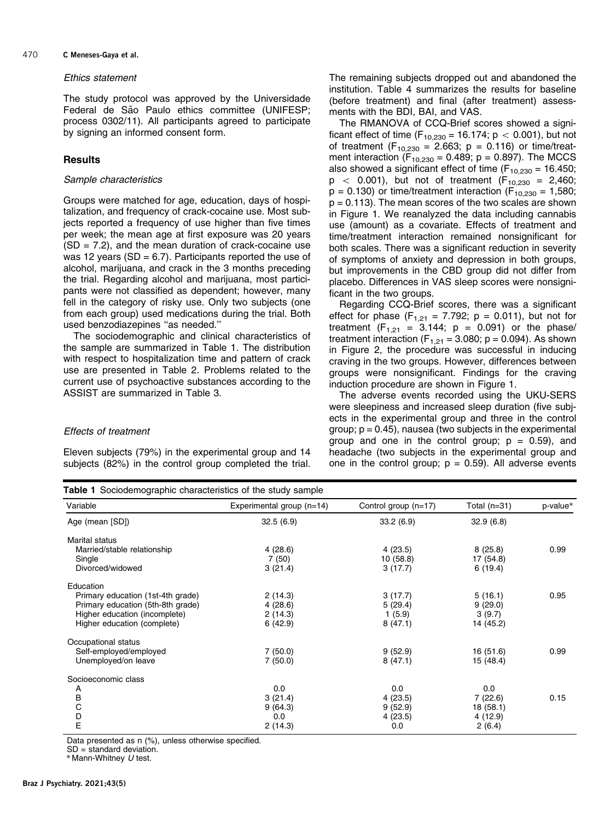#### 470 C Meneses-Gaya et al.

#### Ethics statement

The study protocol was approved by the Universidade Federal de São Paulo ethics committee (UNIFESP; process 0302/11). All participants agreed to participate by signing an informed consent form.

# **Results**

#### Sample characteristics

Groups were matched for age, education, days of hospitalization, and frequency of crack-cocaine use. Most subjects reported a frequency of use higher than five times per week; the mean age at first exposure was 20 years  $(SD = 7.2)$ , and the mean duration of crack-cocaine use was 12 years (SD = 6.7). Participants reported the use of alcohol, marijuana, and crack in the 3 months preceding the trial. Regarding alcohol and marijuana, most participants were not classified as dependent; however, many fell in the category of risky use. Only two subjects (one from each group) used medications during the trial. Both used benzodiazepines ''as needed.''

The sociodemographic and clinical characteristics of the sample are summarized in Table 1. The distribution with respect to hospitalization time and pattern of crack use are presented in [Table 2](#page-4-0). Problems related to the current use of psychoactive substances according to the ASSIST are summarized in [Table 3.](#page-4-0)

#### Effects of treatment

Eleven subjects (79%) in the experimental group and 14 subjects (82%) in the control group completed the trial. The remaining subjects dropped out and abandoned the institution. [Table 4](#page-5-0) summarizes the results for baseline (before treatment) and final (after treatment) assessments with the BDI, BAI, and VAS.

The RMANOVA of CCQ-Brief scores showed a significant effect of time ( $F_{10,230}$  = 16.174; p < 0.001), but not of treatment ( $F_{10,230} = 2.663$ ; p = 0.116) or time/treatment interaction ( $F_{10,230}$  = 0.489; p = 0.897). The MCCS also showed a significant effect of time ( $F_{10,230}$  = 16.450;  $p$  < 0.001), but not of treatment (F<sub>10,230</sub> = 2,460;  $p = 0.130$ ) or time/treatment interaction ( $F_{10,230} = 1,580$ ;  $p = 0.113$ ). The mean scores of the two scales are shown in [Figure 1](#page-6-0). We reanalyzed the data including cannabis use (amount) as a covariate. Effects of treatment and time/treatment interaction remained nonsignificant for both scales. There was a significant reduction in severity of symptoms of anxiety and depression in both groups, but improvements in the CBD group did not differ from placebo. Differences in VAS sleep scores were nonsignificant in the two groups.

Regarding CCQ-Brief scores, there was a significant effect for phase  $(F_{1,21} = 7.792; p = 0.011)$ , but not for treatment ( $F_{1,21} = 3.144$ ;  $p = 0.091$ ) or the phase/ treatment interaction  $(F_{1,21} = 3.080; p = 0.094)$ . As shown in [Figure 2](#page-6-0), the procedure was successful in inducing craving in the two groups. However, differences between groups were nonsignificant. Findings for the craving induction procedure are shown in [Figure 1](#page-6-0).

The adverse events recorded using the UKU-SERS were sleepiness and increased sleep duration (five subjects in the experimental group and three in the control group;  $p = 0.45$ ), nausea (two subjects in the experimental group and one in the control group;  $p = 0.59$ , and headache (two subjects in the experimental group and one in the control group;  $p = 0.59$ ). All adverse events

|  | <b>Table 1</b> Sociodemographic characteristics of the study sample |  |  |  |  |
|--|---------------------------------------------------------------------|--|--|--|--|
|--|---------------------------------------------------------------------|--|--|--|--|

| Variable                          | Experimental group (n=14) | Control group (n=17) | Total (n=31) | p-value* |
|-----------------------------------|---------------------------|----------------------|--------------|----------|
| Age (mean [SD])                   | 32.5(6.9)                 | 33.2(6.9)            | 32.9(6.8)    |          |
| Marital status                    |                           |                      |              |          |
| Married/stable relationship       | 4(28.6)                   | 4(23.5)              | 8(25.8)      | 0.99     |
| Single                            | 7(50)                     | 10(58.8)             | 17 (54.8)    |          |
| Divorced/widowed                  | 3(21.4)                   | 3(17.7)              | 6(19.4)      |          |
| Education                         |                           |                      |              |          |
| Primary education (1st-4th grade) | 2(14.3)                   | 3(17.7)              | 5(16.1)      | 0.95     |
| Primary education (5th-8th grade) | 4(28.6)                   | 5(29.4)              | 9(29.0)      |          |
| Higher education (incomplete)     | 2(14.3)                   | 1(5.9)               | 3(9.7)       |          |
| Higher education (complete)       | 6(42.9)                   | 8(47.1)              | 14 (45.2)    |          |
| Occupational status               |                           |                      |              |          |
| Self-employed/employed            | 7(50.0)                   | 9(52.9)              | 16(51.6)     | 0.99     |
| Unemployed/on leave               | 7(50.0)                   | 8(47.1)              | 15(48.4)     |          |
| Socioeconomic class               |                           |                      |              |          |
| A                                 | 0.0                       | 0.0                  | 0.0          |          |
| $\frac{B}{C}$                     | 3(21.4)                   | 4(23.5)              | 7(22.6)      | 0.15     |
|                                   | 9(64.3)                   | 9(52.9)              | 18 (58.1)    |          |
|                                   | 0.0                       | 4(23.5)              | 4 (12.9)     |          |
| D<br>E                            | 2(14.3)                   | 0.0                  | 2(6.4)       |          |

Data presented as n (%), unless otherwise specified.

 $SD =$ standard deviation.

\* Mann-Whitney U test.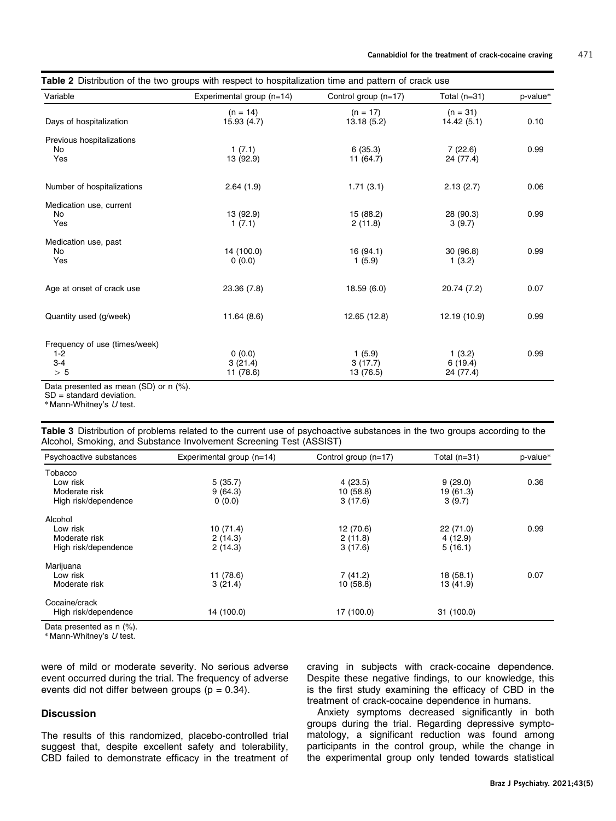<span id="page-4-0"></span>

| Variable                      | Experimental group (n=14) | Control group (n=17)     | Total $(n=31)$           | p-value* |  |
|-------------------------------|---------------------------|--------------------------|--------------------------|----------|--|
| Days of hospitalization       | $(n = 14)$<br>15.93(4.7)  | $(n = 17)$<br>13.18(5.2) | $(n = 31)$<br>14.42(5.1) | 0.10     |  |
| Previous hospitalizations     |                           |                          |                          |          |  |
| No                            | 1(7.1)                    | 6(35.3)                  | 7(22.6)                  | 0.99     |  |
| Yes                           | 13 (92.9)                 | 11(64.7)                 | 24 (77.4)                |          |  |
| Number of hospitalizations    | 2.64(1.9)                 | 1.71(3.1)                | 2.13(2.7)                | 0.06     |  |
| Medication use, current       |                           |                          |                          |          |  |
| No                            | 13 (92.9)                 | 15 (88.2)                | 28 (90.3)                | 0.99     |  |
| Yes                           | 1(7.1)                    | 2(11.8)                  | 3(9.7)                   |          |  |
| Medication use, past          |                           |                          |                          |          |  |
| No                            | 14 (100.0)                | 16(94.1)                 | 30(96.8)                 | 0.99     |  |
| Yes                           | 0(0.0)                    | 1(5.9)                   | 1(3.2)                   |          |  |
| Age at onset of crack use     | 23.36 (7.8)               | 18.59(6.0)               | 20.74 (7.2)              | 0.07     |  |
| Quantity used (g/week)        | 11.64(8.6)                | 12.65 (12.8)             | 12.19 (10.9)             | 0.99     |  |
| Frequency of use (times/week) |                           |                          |                          |          |  |
| $1 - 2$                       | 0(0.0)                    | 1(5.9)                   | 1(3.2)                   | 0.99     |  |
| $3-4$                         | 3(21.4)                   | 3(17.7)                  | 6(19.4)                  |          |  |
| > 5                           | 11 (78.6)                 | 13 (76.5)                | 24 (77.4)                |          |  |

Data presented as mean (SD) or n (%).

 $SD =$  standard deviation.

 $*$  Mann-Whitney's  $U$  test.

| Table 3 Distribution of problems related to the current use of psychoactive substances in the two groups according to the |  |  |  |
|---------------------------------------------------------------------------------------------------------------------------|--|--|--|
| Alcohol, Smoking, and Substance Involvement Screening Test (ASSIST)                                                       |  |  |  |

| Experimental group (n=14) | Control group (n=17) | Total $(n=31)$     | p-value*  |
|---------------------------|----------------------|--------------------|-----------|
|                           |                      |                    |           |
| 5(35.7)                   | 4(23.5)              | 9(29.0)            | 0.36      |
| 9(64.3)                   | 10(58.8)             | 19 (61.3)          |           |
| 0(0.0)                    | 3(17.6)              | 3(9.7)             |           |
|                           |                      |                    |           |
| 10(71.4)                  | 12 (70.6)            | 22 (71.0)          | 0.99      |
| 2(14.3)                   |                      | 4(12.9)            |           |
| 2(14.3)                   | 3(17.6)              | 5(16.1)            |           |
|                           |                      |                    |           |
|                           |                      |                    | 0.07      |
| 3(21.4)                   | 10(58.8)             | 13 (41.9)          |           |
|                           |                      |                    |           |
| 14 (100.0)                | 17 (100.0)           | 31 (100.0)         |           |
|                           | 11 (78.6)            | 2(11.8)<br>7(41.2) | 18 (58.1) |

Data presented as n (%).

\* Mann-Whitney's U test.

were of mild or moderate severity. No serious adverse event occurred during the trial. The frequency of adverse events did not differ between groups  $(p = 0.34)$ .

### **Discussion**

The results of this randomized, placebo-controlled trial suggest that, despite excellent safety and tolerability, CBD failed to demonstrate efficacy in the treatment of craving in subjects with crack-cocaine dependence. Despite these negative findings, to our knowledge, this is the first study examining the efficacy of CBD in the treatment of crack-cocaine dependence in humans.

Anxiety symptoms decreased significantly in both groups during the trial. Regarding depressive symptomatology, a significant reduction was found among participants in the control group, while the change in the experimental group only tended towards statistical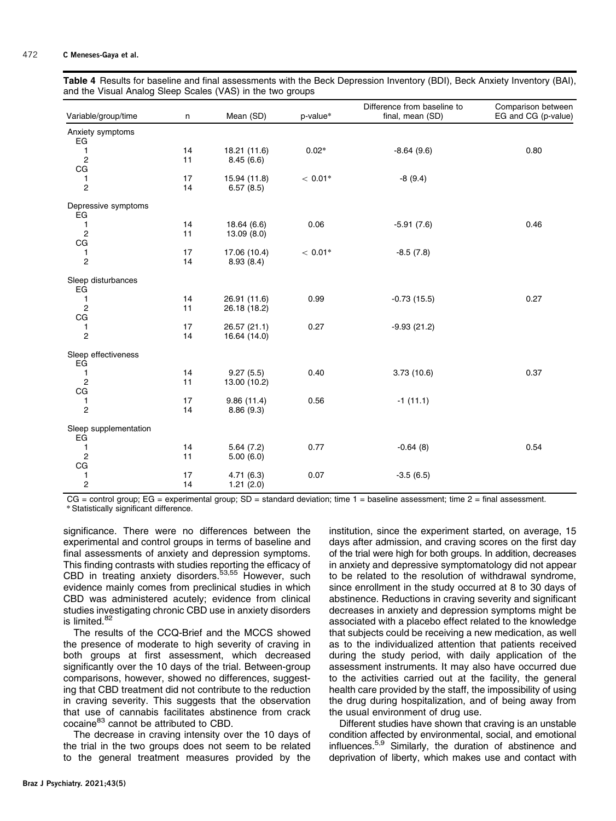<span id="page-5-0"></span>

|  | Table 4 Results for baseline and final assessments with the Beck Depression Inventory (BDI), Beck Anxiety Inventory (BAI), |  |  |  |
|--|----------------------------------------------------------------------------------------------------------------------------|--|--|--|
|  | and the Visual Analog Sleep Scales (VAS) in the two groups                                                                 |  |  |  |

| Variable/group/time         | n  | Mean (SD)    | p-value*  | Difference from baseline to<br>final, mean (SD) | Comparison between<br>EG and CG (p-value) |
|-----------------------------|----|--------------|-----------|-------------------------------------------------|-------------------------------------------|
| Anxiety symptoms            |    |              |           |                                                 |                                           |
| EG                          |    |              |           |                                                 |                                           |
| 1                           | 14 | 18.21 (11.6) | $0.02*$   | $-8.64(9.6)$                                    | 0.80                                      |
| $\overline{c}$              | 11 | 8.45(6.6)    |           |                                                 |                                           |
| CG                          |    |              |           |                                                 |                                           |
| 1                           | 17 | 15.94 (11.8) | $< 0.01*$ | $-8(9.4)$                                       |                                           |
| $\overline{c}$              | 14 | 6.57(8.5)    |           |                                                 |                                           |
| Depressive symptoms<br>EG   |    |              |           |                                                 |                                           |
| 1                           | 14 | 18.64 (6.6)  | 0.06      | $-5.91(7.6)$                                    | 0.46                                      |
| $\overline{2}$              | 11 | 13.09(8.0)   |           |                                                 |                                           |
| CG                          |    |              |           |                                                 |                                           |
| 1                           | 17 | 17.06 (10.4) | $< 0.01*$ | $-8.5(7.8)$                                     |                                           |
| $\overline{c}$              | 14 | 8.93(8.4)    |           |                                                 |                                           |
| Sleep disturbances<br>EG    |    |              |           |                                                 |                                           |
| 1                           | 14 | 26.91 (11.6) | 0.99      | $-0.73(15.5)$                                   | 0.27                                      |
| $\overline{c}$              | 11 | 26.18 (18.2) |           |                                                 |                                           |
| CG                          |    |              |           |                                                 |                                           |
| 1                           | 17 | 26.57 (21.1) | 0.27      | $-9.93(21.2)$                                   |                                           |
| $\overline{c}$              | 14 | 16.64 (14.0) |           |                                                 |                                           |
| Sleep effectiveness<br>EG   |    |              |           |                                                 |                                           |
| 1                           | 14 | 9.27(5.5)    | 0.40      | 3.73(10.6)                                      | 0.37                                      |
| $\overline{2}$              | 11 | 13.00 (10.2) |           |                                                 |                                           |
| CG                          |    |              |           |                                                 |                                           |
| 1                           | 17 | 9.86(11.4)   | 0.56      | $-1(11.1)$                                      |                                           |
| $\overline{c}$              | 14 | 8.86(9.3)    |           |                                                 |                                           |
| Sleep supplementation<br>EG |    |              |           |                                                 |                                           |
| 1                           | 14 | 5.64(7.2)    | 0.77      | $-0.64(8)$                                      | 0.54                                      |
| $\overline{2}$              | 11 | 5.00(6.0)    |           |                                                 |                                           |
| CG                          |    |              |           |                                                 |                                           |
| 1                           | 17 | 4.71(6.3)    | 0.07      | $-3.5(6.5)$                                     |                                           |
| $\overline{c}$              | 14 | 1.21(2.0)    |           |                                                 |                                           |
|                             |    |              |           |                                                 |                                           |

CG = control group; EG = experimental group; SD = standard deviation; time 1 = baseline assessment; time 2 = final assessment. \* Statistically significant difference.

significance. There were no differences between the experimental and control groups in terms of baseline and final assessments of anxiety and depression symptoms. This finding contrasts with studies reporting the efficacy of CBD in treating anxiety disorders.<sup>53,55</sup> However, such evidence mainly comes from preclinical studies in which CBD was administered acutely; evidence from clinical studies investigating chronic CBD use in anxiety disorders is limited.<sup>[82](#page-9-0)</sup>

The results of the CCQ-Brief and the MCCS showed the presence of moderate to high severity of craving in both groups at first assessment, which decreased significantly over the 10 days of the trial. Between-group comparisons, however, showed no differences, suggesting that CBD treatment did not contribute to the reduction in craving severity. This suggests that the observation that use of cannabis facilitates abstinence from crack cocaine<sup>[83](#page-9-0)</sup> cannot be attributed to CBD.

The decrease in craving intensity over the 10 days of the trial in the two groups does not seem to be related to the general treatment measures provided by the

institution, since the experiment started, on average, 15 days after admission, and craving scores on the first day of the trial were high for both groups. In addition, decreases in anxiety and depressive symptomatology did not appear to be related to the resolution of withdrawal syndrome, since enrollment in the study occurred at 8 to 30 days of abstinence. Reductions in craving severity and significant decreases in anxiety and depression symptoms might be associated with a placebo effect related to the knowledge that subjects could be receiving a new medication, as well as to the individualized attention that patients received during the study period, with daily application of the assessment instruments. It may also have occurred due to the activities carried out at the facility, the general health care provided by the staff, the impossibility of using the drug during hospitalization, and of being away from the usual environment of drug use.

Different studies have shown that craving is an unstable condition affected by environmental, social, and emotional influences[.5,9](#page-7-0) Similarly, the duration of abstinence and deprivation of liberty, which makes use and contact with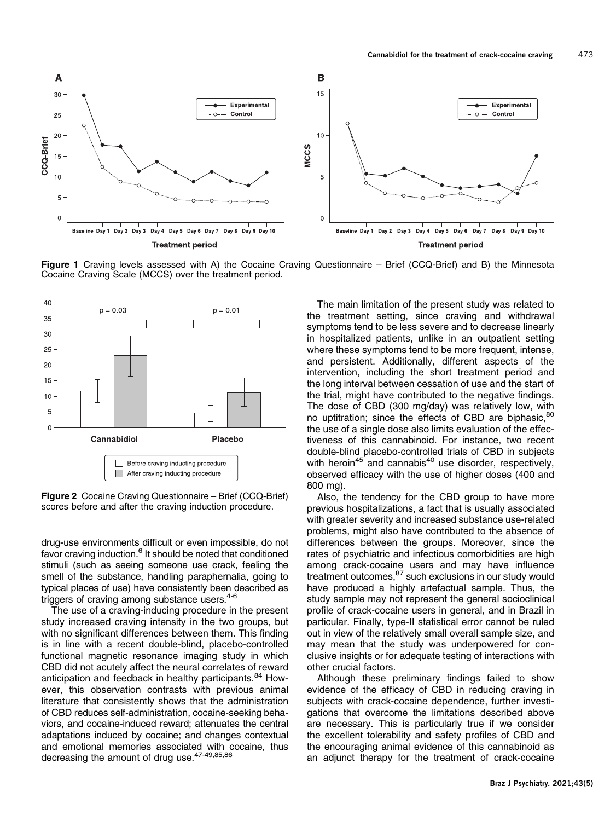<span id="page-6-0"></span>

Figure 1 Craving levels assessed with A) the Cocaine Craving Questionnaire – Brief (CCQ-Brief) and B) the Minnesota Cocaine Craving Scale (MCCS) over the treatment period.



Figure 2 Cocaine Craving Questionnaire – Brief (CCQ-Brief) scores before and after the craving induction procedure.

drug-use environments difficult or even impossible, do not favor craving induction.<sup>[6](#page-7-0)</sup> It should be noted that conditioned stimuli (such as seeing someone use crack, feeling the smell of the substance, handling paraphernalia, going to typical places of use) have consistently been described as triggers of craving among substance users. $4-6$ 

The use of a craving-inducing procedure in the present study increased craving intensity in the two groups, but with no significant differences between them. This finding is in line with a recent double-blind, placebo-controlled functional magnetic resonance imaging study in which CBD did not acutely affect the neural correlates of reward anticipation and feedback in healthy participants.<sup>[84](#page-9-0)</sup> However, this observation contrasts with previous animal literature that consistently shows that the administration of CBD reduces self-administration, cocaine-seeking behaviors, and cocaine-induced reward; attenuates the central adaptations induced by cocaine; and changes contextual and emotional memories associated with cocaine, thus decreasing the amount of drug use.<sup>47-49[,85,86](#page-9-0)</sup>

The main limitation of the present study was related to the treatment setting, since craving and withdrawal symptoms tend to be less severe and to decrease linearly in hospitalized patients, unlike in an outpatient setting where these symptoms tend to be more frequent, intense, and persistent. Additionally, different aspects of the intervention, including the short treatment period and the long interval between cessation of use and the start of the trial, might have contributed to the negative findings. The dose of CBD (300 mg/day) was relatively low, with no uptitration; since the effects of CBD are biphasic, 80 the use of a single dose also limits evaluation of the effectiveness of this cannabinoid. For instance, two recent double-blind placebo-controlled trials of CBD in subjects with heroin<sup>[45](#page-8-0)</sup> and cannabis<sup>40</sup> use disorder, respectively, observed efficacy with the use of higher doses (400 and 800 mg).

Also, the tendency for the CBD group to have more previous hospitalizations, a fact that is usually associated with greater severity and increased substance use-related problems, might also have contributed to the absence of differences between the groups. Moreover, since the rates of psychiatric and infectious comorbidities are high among crack-cocaine users and may have influence treatment outcomes, <sup>[87](#page-9-0)</sup> such exclusions in our study would have produced a highly artefactual sample. Thus, the study sample may not represent the general socioclinical profile of crack-cocaine users in general, and in Brazil in particular. Finally, type-II statistical error cannot be ruled out in view of the relatively small overall sample size, and may mean that the study was underpowered for conclusive insights or for adequate testing of interactions with other crucial factors.

Although these preliminary findings failed to show evidence of the efficacy of CBD in reducing craving in subjects with crack-cocaine dependence, further investigations that overcome the limitations described above are necessary. This is particularly true if we consider the excellent tolerability and safety profiles of CBD and the encouraging animal evidence of this cannabinoid as an adjunct therapy for the treatment of crack-cocaine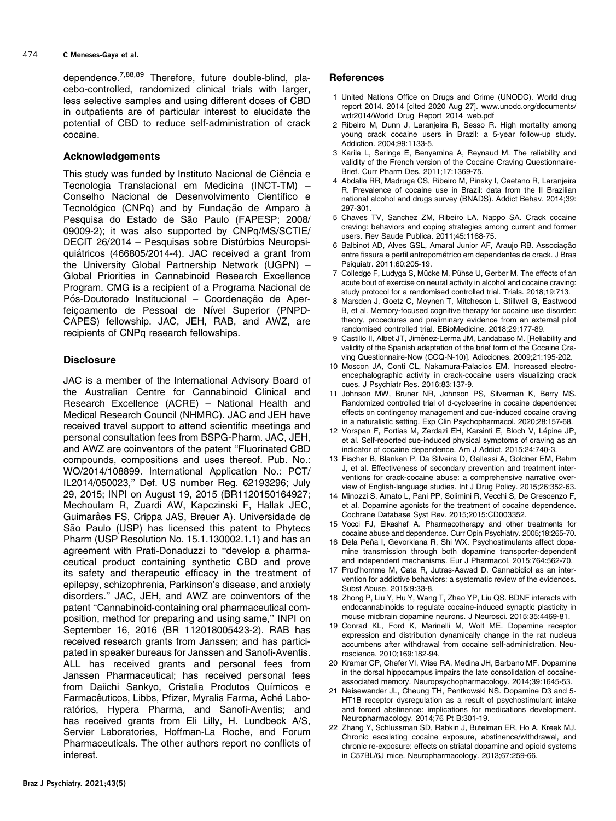<span id="page-7-0"></span>dependence.7,[88,89](#page-9-0) Therefore, future double-blind, placebo-controlled, randomized clinical trials with larger, less selective samples and using different doses of CBD in outpatients are of particular interest to elucidate the potential of CBD to reduce self-administration of crack cocaine.

# Acknowledgements

This study was funded by Instituto Nacional de Ciência e Tecnologia Translacional em Medicina (INCT-TM) – Conselho Nacional de Desenvolvimento Científico e Tecnológico (CNPq) and by Fundação de Amparo à Pesquisa do Estado de São Paulo (FAPESP; 2008/ 09009-2); it was also supported by CNPq/MS/SCTIE/ DECIT 26/2014 – Pesquisas sobre Distúrbios Neuropsiquiátricos (466805/2014-4). JAC received a grant from the University Global Partnership Network (UGPN) – Global Priorities in Cannabinoid Research Excellence Program. CMG is a recipient of a Programa Nacional de Pós-Doutorado Institucional – Coordenacão de Aperfeicoamento de Pessoal de Nível Superior (PNPD-CAPES) fellowship. JAC, JEH, RAB, and AWZ, are recipients of CNPq research fellowships.

# **Disclosure**

JAC is a member of the International Advisory Board of the Australian Centre for Cannabinoid Clinical and Research Excellence (ACRE) – National Health and Medical Research Council (NHMRC). JAC and JEH have received travel support to attend scientific meetings and personal consultation fees from BSPG-Pharm. JAC, JEH, and AWZ are coinventors of the patent ''Fluorinated CBD compounds, compositions and uses thereof. Pub. No.: WO/2014/108899. International Application No.: PCT/ IL2014/050023,'' Def. US number Reg. 62193296; July 29, 2015; INPI on August 19, 2015 (BR1120150164927; Mechoulam R, Zuardi AW, Kapczinski F, Hallak JEC, Guimarâes FS, Crippa JAS, Breuer A). Universidade de São Paulo (USP) has licensed this patent to Phytecs Pharm (USP Resolution No. 15.1.130002.1.1) and has an agreement with Prati-Donaduzzi to ''develop a pharmaceutical product containing synthetic CBD and prove its safety and therapeutic efficacy in the treatment of epilepsy, schizophrenia, Parkinson's disease, and anxiety disorders.'' JAC, JEH, and AWZ are coinventors of the patent ''Cannabinoid-containing oral pharmaceutical composition, method for preparing and using same,'' INPI on September 16, 2016 (BR 112018005423-2). RAB has received research grants from Janssen; and has participated in speaker bureaus for Janssen and Sanofi-Aventis. ALL has received grants and personal fees from Janssen Pharmaceutical; has received personal fees from Daiichi Sankyo, Cristalia Produtos Químicos e Farmacêuticos, Libbs, Pfizer, Myralis Farma, Aché Laboratórios, Hypera Pharma, and Sanofi-Aventis; and has received grants from Eli Lilly, H. Lundbeck A/S, Servier Laboratories, Hoffman-La Roche, and Forum Pharmaceuticals. The other authors report no conflicts of interest.

### References

- 1 United Nations Office on Drugs and Crime (UNODC). World drug report 2014. 2014 [cited 2020 Aug 27]. [www.unodc.org/documents/](www.unodc.org/documents/wdr2014/World_Drug_Report_2014_web.pdf) [wdr2014/World\\_Drug\\_Report\\_2014\\_web.pdf](www.unodc.org/documents/wdr2014/World_Drug_Report_2014_web.pdf)
- 2 Ribeiro M, Dunn J, Laranjeira R, Sesso R. High mortality among young crack cocaine users in Brazil: a 5-year follow-up study. Addiction. 2004;99:1133-5.
- Karila L, Seringe E, Benyamina A, Reynaud M. The reliability and validity of the French version of the Cocaine Craving Questionnaire-Brief. Curr Pharm Des. 2011;17:1369-75.
- 4 Abdalla RR, Madruga CS, Ribeiro M, Pinsky I, Caetano R, Laranjeira R. Prevalence of cocaine use in Brazil: data from the II Brazilian national alcohol and drugs survey (BNADS). Addict Behav. 2014;39: 297-301.
- 5 Chaves TV, Sanchez ZM, Ribeiro LA, Nappo SA. Crack cocaine craving: behaviors and coping strategies among current and former users. Rev Saude Publica. 2011;45:1168-75.
- 6 Balbinot AD, Alves GSL, Amaral Junior AF, Araujo RB. Associação entre fissura e perfil antropométrico em dependentes de crack. J Bras Psiquiatr. 2011;60:205-19.
- 7 Colledge F, Ludyga S, Mücke M, Pühse U, Gerber M. The effects of an acute bout of exercise on neural activity in alcohol and cocaine craving: study protocol for a randomised controlled trial. Trials. 2018;19:713.
- 8 Marsden J, Goetz C, Meynen T, Mitcheson L, Stillwell G, Eastwood B, et al. Memory-focused cognitive therapy for cocaine use disorder: theory, procedures and preliminary evidence from an external pilot randomised controlled trial. EBioMedicine. 2018;29:177-89.
- 9 Castillo II, Albet JT, Jiménez-Lerma JM, Landabaso M. [Reliability and validity of the Spanish adaptation of the brief form of the Cocaine Craving Questionnaire-Now (CCQ-N-10)]. Adicciones. 2009;21:195-202.
- 10 Moscon JA, Conti CL, Nakamura-Palacios EM. Increased electroencephalographic activity in crack-cocaine users visualizing crack cues. J Psychiatr Res. 2016;83:137-9.
- 11 Johnson MW, Bruner NR, Johnson PS, Silverman K, Berry MS. Randomized controlled trial of d-cycloserine in cocaine dependence: effects on contingency management and cue-induced cocaine craving in a naturalistic setting. Exp Clin Psychopharmacol. 2020;28:157-68.
- 12 Vorspan F, Fortias M, Zerdazi EH, Karsinti E, Bloch V, Lépine JP, et al. Self-reported cue-induced physical symptoms of craving as an indicator of cocaine dependence. Am J Addict. 2015;24:740-3.
- 13 Fischer B, Blanken P, Da Silveira D, Gallassi A, Goldner EM, Rehm J, et al. Effectiveness of secondary prevention and treatment interventions for crack-cocaine abuse: a comprehensive narrative overview of English-language studies. Int J Drug Policy. 2015;26:352-63.
- 14 Minozzi S, Amato L, Pani PP, Solimini R, Vecchi S, De Crescenzo F, et al. Dopamine agonists for the treatment of cocaine dependence. Cochrane Database Syst Rev. 2015;2015:CD003352.
- 15 Vocci FJ, Elkashef A. Pharmacotherapy and other treatments for cocaine abuse and dependence. Curr Opin Psychiatry. 2005;18:265-70.
- 16 Dela Peña I, Gevorkiana R, Shi WX. Psychostimulants affect dopamine transmission through both dopamine transporter-dependent and independent mechanisms. Eur J Pharmacol. 2015;764:562-70.
- 17 Prud'homme M, Cata R, Jutras-Aswad D. Cannabidiol as an intervention for addictive behaviors: a systematic review of the evidences. Subst Abuse. 2015;9:33-8.
- 18 Zhong P, Liu Y, Hu Y, Wang T, Zhao YP, Liu QS. BDNF interacts with endocannabinoids to regulate cocaine-induced synaptic plasticity in mouse midbrain dopamine neurons. J Neurosci. 2015;35:4469-81.
- 19 Conrad KL, Ford K, Marinelli M, Wolf ME. Dopamine receptor expression and distribution dynamically change in the rat nucleus accumbens after withdrawal from cocaine self-administration. Neuroscience. 2010;169:182-94.
- 20 Kramar CP, Chefer VI, Wise RA, Medina JH, Barbano MF. Dopamine in the dorsal hippocampus impairs the late consolidation of cocaineassociated memory. Neuropsychopharmacology. 2014;39:1645-53.
- 21 Neisewander JL, Cheung TH, Pentkowski NS. Dopamine D3 and 5- HT1B receptor dysregulation as a result of psychostimulant intake and forced abstinence: implications for medications development. Neuropharmacology. 2014;76 Pt B:301-19.
- 22 Zhang Y, Schlussman SD, Rabkin J, Butelman ER, Ho A, Kreek MJ. Chronic escalating cocaine exposure, abstinence/withdrawal, and chronic re-exposure: effects on striatal dopamine and opioid systems in C57BL/6J mice. Neuropharmacology. 2013;67:259-66.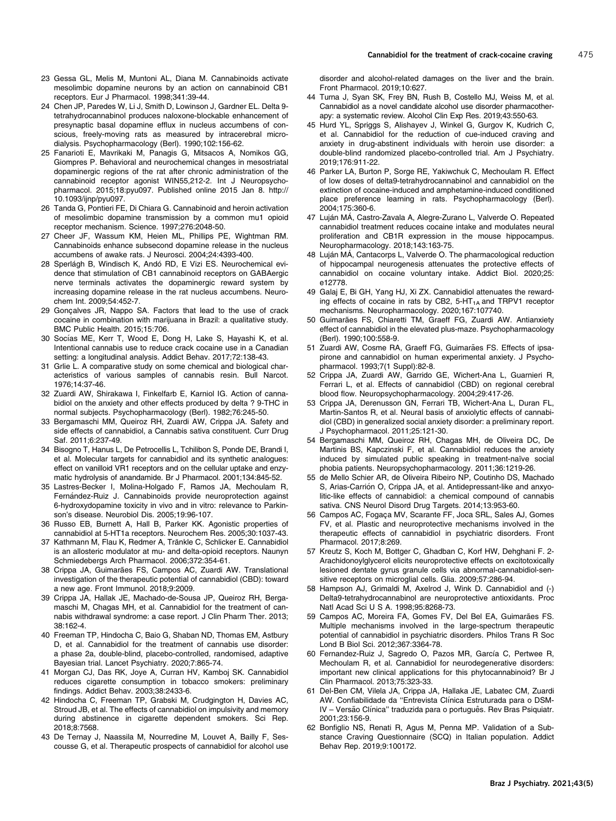- <span id="page-8-0"></span>23 Gessa GL, Melis M, Muntoni AL, Diana M. Cannabinoids activate mesolimbic dopamine neurons by an action on cannabinoid CB1 receptors. Eur J Pharmacol. 1998;341:39-44.
- 24 Chen JP, Paredes W, Li J, Smith D, Lowinson J, Gardner EL. Delta 9 tetrahydrocannabinol produces naloxone-blockable enhancement of presynaptic basal dopamine efflux in nucleus accumbens of conscious, freely-moving rats as measured by intracerebral microdialysis. Psychopharmacology (Berl). 1990;102:156-62.
- 25 Fanarioti E, Mavrikaki M, Panagis G, Mitsacos A, Nomikos GG, Giompres P. Behavioral and neurochemical changes in mesostriatal dopaminergic regions of the rat after chronic administration of the cannabinoid receptor agonist WIN55,212-2. Int J Neuropsychopharmacol. 2015;18:pyu097. Published online 2015 Jan 8. [http://](http://dx.doi.org/10.1093/ijnp/pyu097) [10.1093/ijnp/pyu097](http://dx.doi.org/10.1093/ijnp/pyu097).
- 26 Tanda G, Pontieri FE, Di Chiara G. Cannabinoid and heroin activation of mesolimbic dopamine transmission by a common mu1 opioid receptor mechanism. Science. 1997;276:2048-50.
- 27 Cheer JF, Wassum KM, Heien ML, Phillips PE, Wightman RM. Cannabinoids enhance subsecond dopamine release in the nucleus accumbens of awake rats. J Neurosci. 2004;24:4393-400.
- 28 Sperlágh B, Windisch K, Andó RD, E Vizi ES. Neurochemical evidence that stimulation of CB1 cannabinoid receptors on GABAergic nerve terminals activates the dopaminergic reward system by increasing dopamine release in the rat nucleus accumbens. Neurochem Int. 2009;54:452-7.
- 29 Gonçalves JR, Nappo SA. Factors that lead to the use of crack cocaine in combination with marijuana in Brazil: a qualitative study. BMC Public Health. 2015;15:706.
- 30 Socías ME, Kerr T, Wood E, Dong H, Lake S, Hayashi K, et al. Intentional cannabis use to reduce crack cocaine use in a Canadian setting: a longitudinal analysis. Addict Behav. 2017;72:138-43.
- 31 Grlie L. A comparative study on some chemical and biological characteristics of various samples of cannabis resin. Bull Narcot. 1976;14:37-46.
- 32 Zuardi AW, Shirakawa I, Finkelfarb E, Karniol IG. Action of cannabidiol on the anxiety and other effects produced by delta ? 9-THC in normal subjects. Psychopharmacology (Berl). 1982;76:245-50.
- 33 Bergamaschi MM, Queiroz RH, Zuardi AW, Crippa JA. Safety and side effects of cannabidiol, a Cannabis sativa constituent. Curr Drug Saf. 2011;6:237-49.
- 34 Bisogno T, Hanus L, De Petrocellis L, Tchilibon S, Ponde DE, Brandi I, et al. Molecular targets for cannabidiol and its synthetic analogues: effect on vanilloid VR1 receptors and on the cellular uptake and enzymatic hydrolysis of anandamide. Br J Pharmacol. 2001;134:845-52.
- 35 Lastres-Becker I, Molina-Holgado F, Ramos JA, Mechoulam R, Fernández-Ruiz J. Cannabinoids provide neuroprotection against 6-hydroxydopamine toxicity in vivo and in vitro: relevance to Parkinson's disease. Neurobiol Dis. 2005;19:96-107.
- 36 Russo EB, Burnett A, Hall B, Parker KK. Agonistic properties of cannabidiol at 5-HT1a receptors. Neurochem Res. 2005;30:1037-43.
- 37 Kathmann M, Flau K, Redmer A, Tränkle C, Schlicker E, Cannabidiol is an allosteric modulator at mu- and delta-opioid receptors. Naunyn Schmiedebergs Arch Pharmacol. 2006;372:354-61.
- 38 Crippa JA, Guimarães FS, Campos AC, Zuardi AW. Translational investigation of the therapeutic potential of cannabidiol (CBD): toward a new age. Front Immunol. 2018;9:2009.
- 39 Crippa JA, Hallak JE, Machado-de-Sousa JP, Queiroz RH, Bergamaschi M, Chagas MH, et al. Cannabidiol for the treatment of cannabis withdrawal syndrome: a case report. J Clin Pharm Ther. 2013; 38:162-4.
- 40 Freeman TP, Hindocha C, Baio G, Shaban ND, Thomas EM, Astbury D, et al. Cannabidiol for the treatment of cannabis use disorder: a phase 2a, double-blind, placebo-controlled, randomised, adaptive Bayesian trial. Lancet Psychiatry. 2020;7:865-74.
- 41 Morgan CJ, Das RK, Joye A, Curran HV, Kamboj SK. Cannabidiol reduces cigarette consumption in tobacco smokers: preliminary findings. Addict Behav. 2003;38:2433-6.
- 42 Hindocha C, Freeman TP, Grabski M, Crudgington H, Davies AC, Stroud JB, et al. The effects of cannabidiol on impulsivity and memory during abstinence in cigarette dependent smokers. Sci Rep. 2018;8:7568.
- 43 De Ternay J, Naassila M, Nourredine M, Louvet A, Bailly F, Sescousse G, et al. Therapeutic prospects of cannabidiol for alcohol use

disorder and alcohol-related damages on the liver and the brain. Front Pharmacol. 2019;10:627.

- 44 Turna J, Syan SK, Frey BN, Rush B, Costello MJ, Weiss M, et al. Cannabidiol as a novel candidate alcohol use disorder pharmacotherapy: a systematic review. Alcohol Clin Exp Res. 2019;43:550-63.
- 45 Hurd YL, Spriggs S, Alishayev J, Winkel G, Gurgov K, Kudrich C, et al. Cannabidiol for the reduction of cue-induced craving and anxiety in drug-abstinent individuals with heroin use disorder: a double-blind randomized placebo-controlled trial. Am J Psychiatry. 2019;176:911-22.
- 46 Parker LA, Burton P, Sorge RE, Yakiwchuk C, Mechoulam R. Effect of low doses of delta9-tetrahydrocannabinol and cannabidiol on the extinction of cocaine-induced and amphetamine-induced conditioned place preference learning in rats. Psychopharmacology (Berl). 2004;175:360-6.
- 47 Luján MÁ, Castro-Zavala A, Alegre-Zurano L, Valverde O. Repeated cannabidiol treatment reduces cocaine intake and modulates neural proliferation and CB1R expression in the mouse hippocampus. Neuropharmacology. 2018;143:163-75.
- 48 Luján MÁ, Cantacorps L, Valverde O. The pharmacological reduction of hippocampal neurogenesis attenuates the protective effects of cannabidiol on cocaine voluntary intake. Addict Biol. 2020;25: e12778.
- 49 Galaj E, Bi GH, Yang HJ, Xi ZX. Cannabidiol attenuates the rewarding effects of cocaine in rats by CB2,  $5-HT_{1A}$  and TRPV1 receptor mechanisms. Neuropharmacology. 2020;167:107740.
- 50 Guimarães FS, Chiaretti TM, Graeff FG, Zuardi AW. Antianxiety effect of cannabidiol in the elevated plus-maze. Psychopharmacology (Berl). 1990;100:558-9.
- 51 Zuardi AW, Cosme RA, Graeff FG, Guimarães FS. Effects of ipsapirone and cannabidiol on human experimental anxiety. J Psychopharmacol. 1993;7(1 Suppl):82-8.
- 52 Crippa JA, Zuardi AW, Garrido GE, Wichert-Ana L, Guarnieri R, Ferrari L, et al. Effects of cannabidiol (CBD) on regional cerebral blood flow. Neuropsychopharmacology. 2004;29:417-26.
- 53 Crippa JA, Derenusson GN, Ferrari TB, Wichert-Ana L, Duran FL, Martin-Santos R, et al. Neural basis of anxiolytic effects of cannabidiol (CBD) in generalized social anxiety disorder: a preliminary report. J Psychopharmacol. 2011;25:121-30.
- 54 Bergamaschi MM, Queiroz RH, Chagas MH, de Oliveira DC, De Martinis BS, Kapczinski F, et al. Cannabidiol reduces the anxiety induced by simulated public speaking in treatment-naïve social phobia patients. Neuropsychopharmacology. 2011;36:1219-26.
- 55 de Mello Schier AR, de Oliveira Ribeiro NP, Coutinho DS, Machado S, Arias-Carrión O, Crippa JA, et al. Antidepressant-like and anxyolitic-like effects of cannabidiol: a chemical compound of cannabis sativa. CNS Neurol Disord Drug Targets. 2014;13:953-60.
- 56 Campos AC, Fogaca MV, Scarante FF, Joca SRL, Sales AJ, Gomes FV, et al. Plastic and neuroprotective mechanisms involved in the therapeutic effects of cannabidiol in psychiatric disorders. Front Pharmacol. 2017;8:269.
- 57 Kreutz S, Koch M, Bottger C, Ghadban C, Korf HW, Dehghani F. 2- Arachidonoylglycerol elicits neuroprotective effects on excitotoxically lesioned dentate gyrus granule cells via abnormal-cannabidiol-sensitive receptors on microglial cells. Glia. 2009;57:286-94.
- 58 Hampson AJ, Grimaldi M, Axelrod J, Wink D. Cannabidiol and (-) Delta9-tetrahydrocannabinol are neuroprotective antioxidants. Proc Natl Acad Sci U S A. 1998;95:8268-73.
- 59 Campos AC, Moreira FA, Gomes FV, Del Bel EA, Guimarães FS. Multiple mechanisms involved in the large-spectrum therapeutic potential of cannabidiol in psychiatric disorders. Philos Trans R Soc Lond B Biol Sci. 2012;367:3364-78.
- 60 Fernandez-Ruiz J, Sagredo O, Pazos MR, García C, Pertwee R, Mechoulam R, et al. Cannabidiol for neurodegenerative disorders: important new clinical applications for this phytocannabinoid? Br J Clin Pharmacol. 2013;75:323-33.
- 61 Del-Ben CM, Vilela JA, Crippa JA, Hallaka JE, Labatec CM, Zuardi AW. Confiabilidade da "Entrevista Clínica Estruturada para o DSM-IV – Versão Clínica" traduzida para o português. Rev Bras Psiquiatr. 2001;23:156-9.
- 62 Bonfiglio NS, Renati R, Agus M, Penna MP. Validation of a Substance Craving Questionnaire (SCQ) in Italian population. Addict Behav Rep. 2019;9:100172.